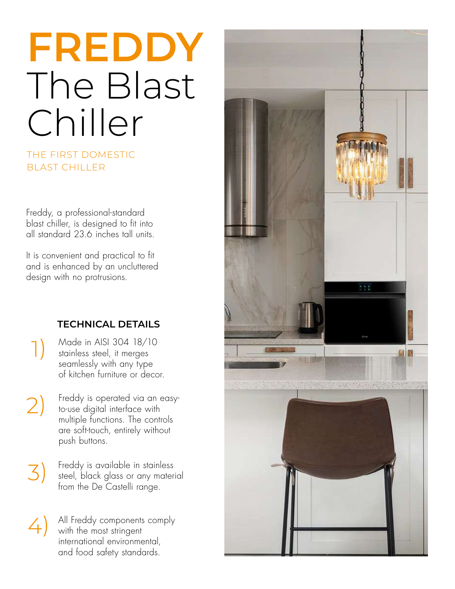# **FREDDY** The Blast Chiller

## THE FIRST DOMESTIC BLAST CHILLER

Freddy, a professional-standard blast chiller, is designed to fit into all standard 23.6 inches tall units.

It is convenient and practical to fit and is enhanced by an uncluttered design with no protrusions.

# **TECHNICAL DETAILS**

Made in AISI 304 18/10 stainless steel, it merges seamlessly with any type of kitchen furniture or decor.

 $\left| \right|$ 

- Freddy is operated via an easy- $(2)$ to-use digital interface with multiple functions. The controls are soft-touch, entirely without push buttons.
- Freddy is available in stainless 3) steel, black glass or any material from the De Castelli range.
- All Freddy components comply  $\left( 4\right)$ with the most stringent international environmental, and food safety standards.

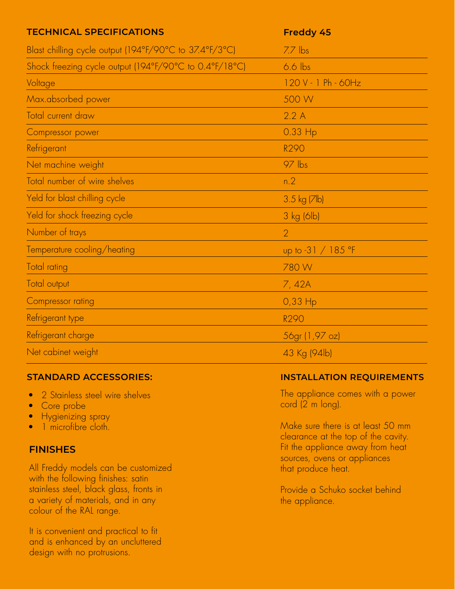| <b>TECHNICAL SPECIFICATIONS</b>                        | Freddy 45           |
|--------------------------------------------------------|---------------------|
| Blast chilling cycle output (194°F/90°C to 37.4°F/3°C) | $7.7$ lbs           |
| Shock freezing cycle output (194°F/90°C to 0.4°F/18°C) | $6.6$ lbs           |
| Voltage                                                | 120 V - 1 Ph - 60Hz |
| Max.absorbed power                                     | 500 W               |
| <b>Total current draw</b>                              | 2.2A                |
| Compressor power                                       | 0.33 Hp             |
| Refrigerant                                            | R290                |
| Net machine weight                                     | $97$ lbs            |
| Total number of wire shelves                           | n.2                 |
| Yeld for blast chilling cycle                          | $3.5$ kg ( $7$ lb)  |
| Yeld for shock freezing cycle                          | 3 kg (6lb)          |
| Number of trays                                        | $\overline{2}$      |
| Temperature cooling/heating                            | up to -31 / 185 °F  |
| <b>Total rating</b>                                    | 780W                |
| Total output                                           | 7,42A               |
| Compressor rating                                      | $0,33$ Hp           |
| Refrigerant type                                       | <b>R290</b>         |
| Refrigerant charge                                     | 56gr (1,97 oz)      |
| Net cabinet weight                                     | 43 Kg (94lb)        |

- 2 Stainless steel wire shelves
- Core probe
- Hygienizing spray
- 1 microfibre cloth.

## **FINISHES**

All Freddy models can be customized with the following finishes: satin stainless steel, black glass, fronts in a variety of materials, and in any colour of the RAL range.

It is convenient and practical to fit and is enhanced by an uncluttered design with no protrusions.

## **STANDARD ACCESSORIES: INSTALLATION REQUIREMENTS**

The appliance comes with a power cord (2 m long).

Make sure there is at least 50 mm clearance at the top of the cavity. Fit the appliance away from heat sources, ovens or appliances that produce heat.

Provide a Schuko socket behind the appliance.